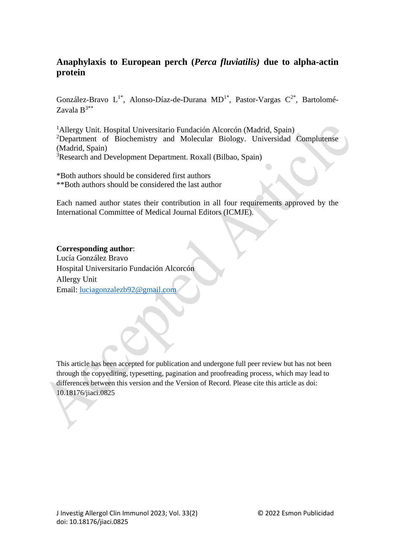# **Anaphylaxis to European perch (***Perca fluviatilis)* **due to alpha-actin protein**

González-Bravo  $L^{1*}$ , Alonso-Díaz-de-Durana MD<sup>1</sup><sup>\*</sup>, Pastor-Vargas  $C^{2*}$ , Bartolomé-Zavala  $B^{3**}$ 

Allergy Unit. Hospital Universitario Fundación Alcorcón (Madrid, Spain) Department of Biochemistry and Molecular Biology. Universidad Complutense (Madrid, Spain) Research and Development Department. Roxall (Bilbao, Spain)

\*Both authors should be considered first authors \*\*Both authors should be considered the last author

Each named author states their contribution in all four requirements approved by the International Committee of Medical Journal Editors (ICMJE).

### **Corresponding author**:

Lucía González Bravo Hospital Universitario Fundación Alcorcón Allergy Unit Email: [luciagonzalezb92@gmail.com](mailto:luciagonzalezb92@gmail.com)

This article has been accepted for publication and undergone full peer review but has not been through the copyediting, typesetting, pagination and proofreading process, which may lead to differences between this version and the Version of Record. Please cite this article as doi: 10.18176/jiaci.0825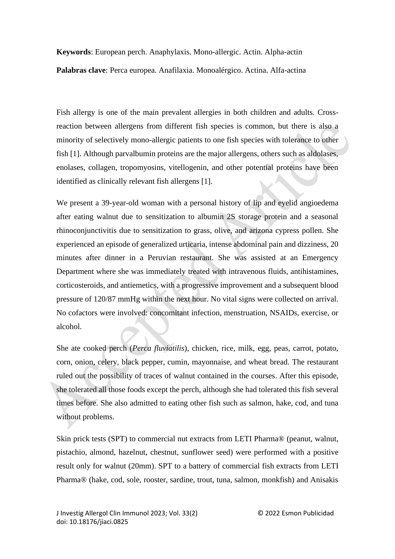**Keywords**: European perch. Anaphylaxis. Mono-allergic. Actin. Alpha-actin **Palabras clave**: Perca europea. Anafilaxia. Monoalérgico. Actina. Alfa-actina

Fish allergy is one of the main prevalent allergies in both children and adults. Crossreaction between allergens from different fish species is common, but there is also a minority of selectively mono-allergic patients to one fish species with tolerance to other fish [1]. Although parvalbumin proteins are the major allergens, others such as aldolases, enolases, collagen, tropomyosins, vitellogenin, and other potential proteins have been identified as clinically relevant fish allergens [1].

We present a 39-year-old woman with a personal history of lip and eyelid angioedema after eating walnut due to sensitization to albumin 2S storage protein and a seasonal rhinoconjunctivitis due to sensitization to grass, olive, and arizona cypress pollen. She experienced an episode of generalized urticaria, intense abdominal pain and dizziness, 20 minutes after dinner in a Peruvian restaurant. She was assisted at an Emergency Department where she was immediately treated with intravenous fluids, antihistamines, corticosteroids, and antiemetics, with a progressive improvement and a subsequent blood pressure of 120/87 mmHg within the next hour. No vital signs were collected on arrival. No cofactors were involved: concomitant infection, menstruation, NSAIDs, exercise, or alcohol.

She ate cooked perch (*Perca fluviatilis*), chicken, rice, milk, egg, peas, carrot, potato, corn, onion, celery, black pepper, cumin, mayonnaise, and wheat bread. The restaurant ruled out the possibility of traces of walnut contained in the courses. After this episode, she tolerated all those foods except the perch, although she had tolerated this fish several times before. She also admitted to eating other fish such as salmon, hake, cod, and tuna without problems.

Skin prick tests (SPT) to commercial nut extracts from LETI Pharma® (peanut, walnut, pistachio, almond, hazelnut, chestnut, sunflower seed) were performed with a positive result only for walnut (20mm). SPT to a battery of commercial fish extracts from LETI Pharma® (hake, cod, sole, rooster, sardine, trout, tuna, salmon, monkfish) and Anisakis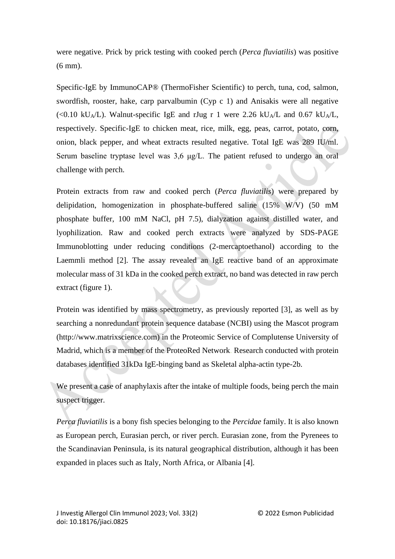were negative. Prick by prick testing with cooked perch (*Perca fluviatilis*) was positive (6 mm).

Specific-IgE by ImmunoCAP® (ThermoFisher Scientific) to perch, tuna, cod, salmon, swordfish, rooster, hake, carp parvalbumin (Cyp c 1) and Anisakis were all negative (<0.10 kU<sub>A</sub>/L). Walnut-specific IgE and rJug r 1 were 2.26 kU<sub>A</sub>/L and 0.67 kU<sub>A</sub>/L, respectively. Specific-IgE to chicken meat, rice, milk, egg, peas, carrot, potato, corn, onion, black pepper, and wheat extracts resulted negative. Total IgE was 289 IU/ml. Serum baseline tryptase level was 3,6 μg/L. The patient refused to undergo an oral challenge with perch.

Protein extracts from raw and cooked perch (*Perca fluviatilis*) were prepared by delipidation, homogenization in phosphate-buffered saline (15% W/V) (50 mM phosphate buffer, 100 mM NaCl, pH 7.5), dialyzation against distilled water, and lyophilization. Raw and cooked perch extracts were analyzed by SDS-PAGE Immunoblotting under reducing conditions (2-mercaptoethanol) according to the Laemmli method [2]. The assay revealed an IgE reactive band of an approximate molecular mass of 31 kDa in the cooked perch extract, no band was detected in raw perch extract (figure 1).

Protein was identified by mass spectrometry, as previously reported [3], as well as by searching a nonredundant protein sequence database (NCBI) using the Mascot program (http://www.matrixscience.com) in the Proteomic Service of Complutense University of Madrid, which is a member of the ProteoRed Network. Research conducted with protein databases identified 31kDa IgE-binging band as Skeletal alpha-actin type-2b.

We present a case of anaphylaxis after the intake of multiple foods, being perch the main suspect trigger.

*Perca fluviatilis* is a bony fish species belonging to the *Percidae* family. It is also known as European perch, Eurasian perch, or river perch. Eurasian zone, from the Pyrenees to the Scandinavian Peninsula, is its natural geographical distribution, although it has been expanded in places such as Italy, North Africa, or Albania [4].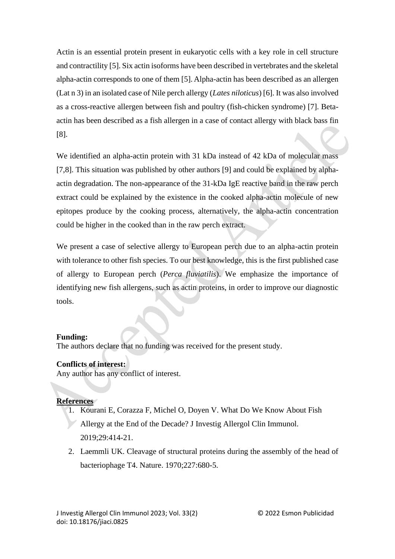Actin is an essential protein present in eukaryotic cells with a key role in cell structure and contractility [5]. Six actin isoforms have been described in vertebrates and the skeletal alpha-actin corresponds to one of them [5]. Alpha-actin has been described as an allergen (Lat n 3) in an isolated case of Nile perch allergy (*Lates niloticus*) [6]. It was also involved as a cross-reactive allergen between fish and poultry (fish-chicken syndrome) [7]. Betaactin has been described as a fish allergen in a case of contact allergy with black bass fin [8].

We identified an alpha-actin protein with 31 kDa instead of 42 kDa of molecular mass [7,8]. This situation was published by other authors [9] and could be explained by alphaactin degradation. The non-appearance of the 31-kDa IgE reactive band in the raw perch extract could be explained by the existence in the cooked alpha-actin molecule of new epitopes produce by the cooking process, alternatively, the alpha-actin concentration could be higher in the cooked than in the raw perch extract.

We present a case of selective allergy to European perch due to an alpha-actin protein with tolerance to other fish species. To our best knowledge, this is the first published case of allergy to European perch (*Perca fluviatilis*). We emphasize the importance of identifying new fish allergens, such as actin proteins, in order to improve our diagnostic tools.

### **Funding:**

The authors declare that no funding was received for the present study.

# **Conflicts of interest:**

Any author has any conflict of interest.

# **References**

- 1. Kourani E, Corazza F, Michel O, Doyen V. What Do We Know About Fish Allergy at the End of the Decade? J Investig Allergol Clin Immunol. 2019;29:414-21.
- 2. Laemmli UK. Cleavage of structural proteins during the assembly of the head of bacteriophage T4. Nature. 1970;227:680-5.